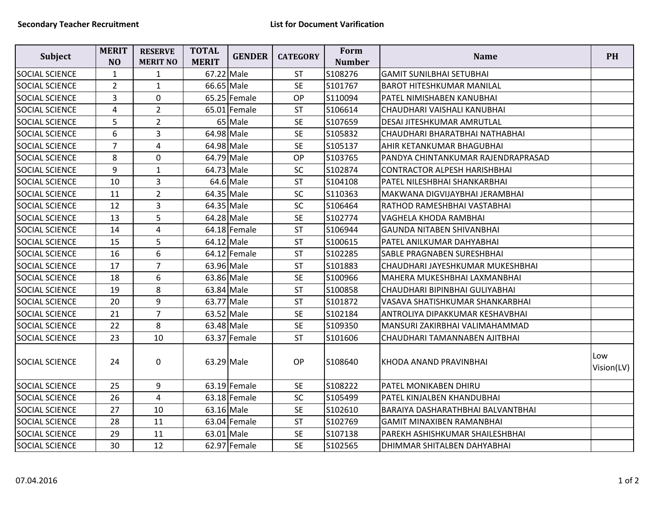| <b>Subject</b>        | <b>MERIT</b><br>N <sub>O</sub> | <b>RESERVE</b><br><b>MERIT NO</b> | <b>TOTAL</b><br><b>MERIT</b> | <b>GENDER</b>  | <b>CATEGORY</b> | Form<br><b>Number</b> | <b>Name</b>                         | <b>PH</b>         |
|-----------------------|--------------------------------|-----------------------------------|------------------------------|----------------|-----------------|-----------------------|-------------------------------------|-------------------|
| <b>SOCIAL SCIENCE</b> | $\mathbf{1}$                   | $\mathbf{1}$                      |                              | 67.22 Male     | <b>ST</b>       | S108276               | <b>GAMIT SUNILBHAI SETUBHAI</b>     |                   |
| <b>SOCIAL SCIENCE</b> | $\overline{2}$                 | $\mathbf{1}$                      |                              | 66.65 Male     | <b>SE</b>       | S101767               | <b>BAROT HITESHKUMAR MANILAL</b>    |                   |
| SOCIAL SCIENCE        | 3                              | 0                                 |                              | $65.25$ Female | <b>OP</b>       | S110094               | PATEL NIMISHABEN KANUBHAI           |                   |
| SOCIAL SCIENCE        | 4                              | $\overline{2}$                    |                              | $65.01$ Female | <b>ST</b>       | S106614               | CHAUDHARI VAISHALI KANUBHAI         |                   |
| <b>SOCIAL SCIENCE</b> | 5                              | $\overline{2}$                    |                              | 65 Male        | <b>SE</b>       | S107659               | DESAI JITESHKUMAR AMRUTLAL          |                   |
| <b>SOCIAL SCIENCE</b> | 6                              | 3                                 |                              | 64.98 Male     | <b>SE</b>       | S105832               | CHAUDHARI BHARATBHAI NATHABHAI      |                   |
| SOCIAL SCIENCE        | $\overline{7}$                 | 4                                 | 64.98 Male                   |                | <b>SE</b>       | S105137               | AHIR KETANKUMAR BHAGUBHAI           |                   |
| SOCIAL SCIENCE        | 8                              | 0                                 |                              | 64.79 Male     | <b>OP</b>       | S103765               | PANDYA CHINTANKUMAR RAJENDRAPRASAD  |                   |
| <b>SOCIAL SCIENCE</b> | 9                              | $1\,$                             |                              | 64.73 Male     | <b>SC</b>       | S102874               | <b>CONTRACTOR ALPESH HARISHBHAI</b> |                   |
| SOCIAL SCIENCE        | 10                             | $\overline{3}$                    |                              | $64.6$ Male    | <b>ST</b>       | S104108               | PATEL NILESHBHAI SHANKARBHAI        |                   |
| <b>SOCIAL SCIENCE</b> | 11                             | $\overline{2}$                    |                              | 64.35 Male     | SC              | S110363               | MAKWANA DIGVIJAYBHAI JERAMBHAI      |                   |
| SOCIAL SCIENCE        | 12                             | $\overline{3}$                    | 64.35 Male                   |                | <b>SC</b>       | S106464               | RATHOD RAMESHBHAI VASTABHAI         |                   |
| SOCIAL SCIENCE        | 13                             | 5                                 |                              | 64.28 Male     | <b>SE</b>       | S102774               | VAGHELA KHODA RAMBHAI               |                   |
| SOCIAL SCIENCE        | 14                             | 4                                 |                              | $64.18$ Female | <b>ST</b>       | S106944               | <b>GAUNDA NITABEN SHIVANBHAI</b>    |                   |
| <b>SOCIAL SCIENCE</b> | 15                             | 5                                 | 64.12 Male                   |                | <b>ST</b>       | S100615               | PATEL ANILKUMAR DAHYABHAI           |                   |
| <b>SOCIAL SCIENCE</b> | 16                             | 6                                 |                              | 64.12 Female   | <b>ST</b>       | S102285               | SABLE PRAGNABEN SURESHBHAI          |                   |
| <b>SOCIAL SCIENCE</b> | 17                             | $\overline{7}$                    | 63.96 Male                   |                | ST              | S101883               | CHAUDHARI JAYESHKUMAR MUKESHBHAI    |                   |
| <b>SOCIAL SCIENCE</b> | 18                             | 6                                 |                              | 63.86 Male     | <b>SE</b>       | S100966               | MAHERA MUKESHBHAI LAXMANBHAI        |                   |
| SOCIAL SCIENCE        | 19                             | 8                                 |                              | 63.84 Male     | <b>ST</b>       | S100858               | CHAUDHARI BIPINBHAI GULIYABHAI      |                   |
| <b>SOCIAL SCIENCE</b> | 20                             | 9                                 |                              | 63.77 Male     | <b>ST</b>       | S101872               | VASAVA SHATISHKUMAR SHANKARBHAI     |                   |
| SOCIAL SCIENCE        | 21                             | $\overline{7}$                    |                              | 63.52 Male     | <b>SE</b>       | S102184               | ANTROLIYA DIPAKKUMAR KESHAVBHAI     |                   |
| SOCIAL SCIENCE        | 22                             | 8                                 |                              | 63.48 Male     | <b>SE</b>       | S109350               | MANSURI ZAKIRBHAI VALIMAHAMMAD      |                   |
| SOCIAL SCIENCE        | 23                             | 10                                |                              | 63.37 Female   | <b>ST</b>       | S101606               | CHAUDHARI TAMANNABEN AJITBHAI       |                   |
| <b>SOCIAL SCIENCE</b> | 24                             | $\mathbf 0$                       |                              | 63.29 Male     | <b>OP</b>       | S108640               | KHODA ANAND PRAVINBHAI              | Low<br>Vision(LV) |
| SOCIAL SCIENCE        | 25                             | 9                                 |                              | $63.19$ Female | <b>SE</b>       | S108222               | PATEL MONIKABEN DHIRU               |                   |
| <b>SOCIAL SCIENCE</b> | 26                             | $\overline{4}$                    |                              | 63.18 Female   | SC              | S105499               | PATEL KINJALBEN KHANDUBHAI          |                   |
| SOCIAL SCIENCE        | 27                             | 10                                |                              | 63.16 Male     | <b>SE</b>       | S102610               | BARAIYA DASHARATHBHAI BALVANTBHAI   |                   |
| SOCIAL SCIENCE        | 28                             | 11                                |                              | $63.04$ Female | <b>ST</b>       | S102769               | <b>GAMIT MINAXIBEN RAMANBHAI</b>    |                   |
| <b>SOCIAL SCIENCE</b> | 29                             | 11                                |                              | 63.01 Male     | <b>SE</b>       | S107138               | PAREKH ASHISHKUMAR SHAILESHBHAI     |                   |
| SOCIAL SCIENCE        | 30                             | 12                                |                              | 62.97 Female   | <b>SE</b>       | S102565               | DHIMMAR SHITALBEN DAHYABHAI         |                   |